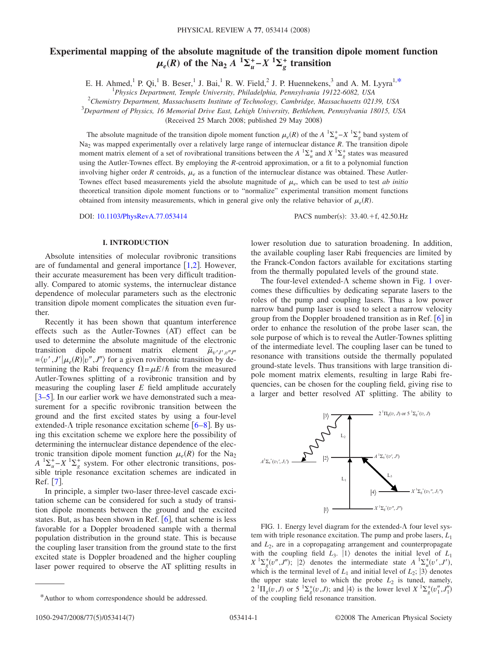# **Experimental mapping of the absolute magnitude of the transition dipole moment function**  $\mu_e(R)$  of the Na<sub>2</sub> *A*  ${}^{1}\Sigma_{u}^{+}$  – *X*  ${}^{1}\Sigma_{g}^{+}$  transition

E. H. Ahmed,<sup>1</sup> P. Qi,<sup>1</sup> B. Beser,<sup>1</sup> J. Bai,<sup>1</sup> R. W. Field,<sup>2</sup> J. P. Huennekens,<sup>3</sup> and A. M. Lyyra<sup>1[,\\*](#page-0-0)</sup>

*Physics Department, Temple University, Philadelphia, Pennsylvania 19122-6082, USA*

2 *Chemistry Department, Massachusetts Institute of Technology, Cambridge, Massachusetts 02139, USA*

3 *Department of Physics, 16 Memorial Drive East, Lehigh University, Bethlehem, Pennsylvania 18015, USA*

(Received 25 March 2008; published 29 May 2008)

The absolute magnitude of the transition dipole moment function  $\mu_e(R)$  of the  $A^{-1}\Sigma_u^+ - X^{-1}\Sigma_g^+$  band system of Na<sub>2</sub> was mapped experimentally over a relatively large range of internuclear distance *R*. The transition dipole moment matrix element of a set of rovibrational transitions between the  $A^{-1}\Sigma_u^+$  and  $X^{-1}\Sigma_g^+$  states was measured using the Autler-Townes effect. By employing the *R*-centroid approximation, or a fit to a polynomial function involving higher order *R* centroids,  $\mu_e$  as a function of the internuclear distance was obtained. These Autler-Townes effect based measurements yield the absolute magnitude of  $\mu_e$ , which can be used to test *ab initio* theoretical transition dipole moment functions or to "normalize" experimental transition moment functions obtained from intensity measurements, which in general give only the relative behavior of  $\mu_e(R)$ .

DOI: [10.1103/PhysRevA.77.053414](http://dx.doi.org/10.1103/PhysRevA.77.053414)

PACS number(s):  $33.40.+f$ , 42.50.Hz

### **I. INTRODUCTION**

Absolute intensities of molecular rovibronic transitions are of fundamental and general importance  $[1,2]$  $[1,2]$  $[1,2]$  $[1,2]$ . However, their accurate measurement has been very difficult traditionally. Compared to atomic systems, the internuclear distance dependence of molecular parameters such as the electronic transition dipole moment complicates the situation even further.

Recently it has been shown that quantum interference effects such as the Autler-Townes (AT) effect can be used to determine the absolute magnitude of the electronic transition dipole moment matrix element  $\bar{\mu}_{v'J'$ <sub>- $v''J''$ </sub>  $=$   $\langle v', J' | \mu_e(R) | v'', J'' \rangle$  for a given rovibronic transition by determining the Rabi frequency  $\Omega = \mu E/\hbar$  from the measured Autler-Townes splitting of a rovibronic transition and by measuring the coupling laser *E* field amplitude accurately [[3](#page-6-2)[–5](#page-6-3)]. In our earlier work we have demonstrated such a measurement for a specific rovibronic transition between the ground and the first excited states by using a four-level extended- $\Lambda$  triple resonance excitation scheme [[6](#page-6-4)[–8](#page-6-5)]. By using this excitation scheme we explore here the possibility of determining the internuclear distance dependence of the electronic transition dipole moment function  $\mu_e(R)$  for the Na<sub>2</sub>  $A^{-1}\Sigma_u^+ - X^{-1}\Sigma_g^+$  system. For other electronic transitions, possible triple resonance excitation schemes are indicated in Ref. [[7](#page-6-6)].

In principle, a simpler two-laser three-level cascade excitation scheme can be considered for such a study of transition dipole moments between the ground and the excited states. But, as has been shown in Ref.  $[6]$  $[6]$  $[6]$ , that scheme is less favorable for a Doppler broadened sample with a thermal population distribution in the ground state. This is because the coupling laser transition from the ground state to the first excited state is Doppler broadened and the higher coupling laser power required to observe the AT splitting results in lower resolution due to saturation broadening. In addition, the available coupling laser Rabi frequencies are limited by the Franck-Condon factors available for excitations starting from the thermally populated levels of the ground state.

The four-level extended- $\Lambda$  scheme shown in Fig. [1](#page-0-1) overcomes these difficulties by dedicating separate lasers to the roles of the pump and coupling lasers. Thus a low power narrow band pump laser is used to select a narrow velocity group from the Doppler broadened transition as in Ref.  $\lceil 6 \rceil$  $\lceil 6 \rceil$  $\lceil 6 \rceil$  in order to enhance the resolution of the probe laser scan, the sole purpose of which is to reveal the Autler-Townes splitting of the intermediate level. The coupling laser can be tuned to resonance with transitions outside the thermally populated ground-state levels. Thus transitions with large transition dipole moment matrix elements, resulting in large Rabi frequencies, can be chosen for the coupling field, giving rise to a larger and better resolved AT splitting. The ability to

<span id="page-0-1"></span>

FIG. 1. Energy level diagram for the extended- $\Lambda$  four level system with triple resonance excitation. The pump and probe lasers, *L*<sup>1</sup> and *L*2, are in a copropagating arrangement and counterpropagate with the coupling field  $L_3$ .  $|1\rangle$  denotes the initial level of  $L_1$  $X^{-1}\Sigma_g^+(v'',J'')$ ; 2 denotes the intermediate state  $A^{-1}\Sigma_u^+(v',J')$ , which is the terminal level of  $L_1$  and initial level of  $L_2$ ;  $|3\rangle$  denotes the upper state level to which the probe  $L_2$  is tuned, namely,  $2 \text{ } {}^{1}\Pi_{g}(v,J)$  or  $5 \text{ } {}^{1}\Sigma_{g}^{+}(v,J)$ ; and  $|4\rangle$  is the lower level  $X \text{ } {}^{1}\Sigma_{g}^{+}(v''_{1},J''_{1})$ of the coupling field resonance transition.

<span id="page-0-0"></span><sup>\*</sup>Author to whom correspondence should be addressed.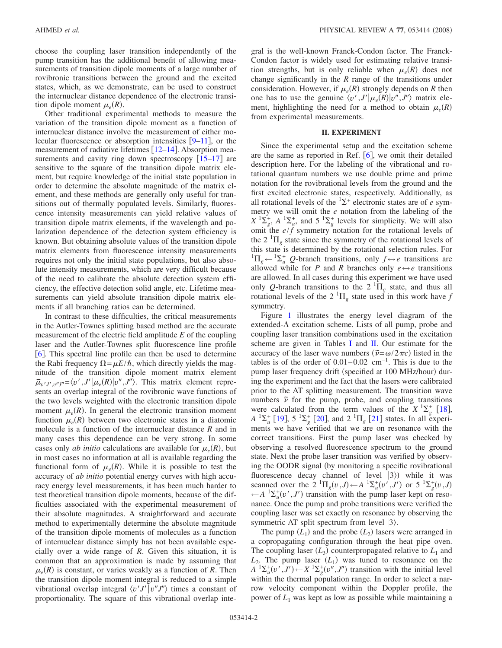choose the coupling laser transition independently of the pump transition has the additional benefit of allowing measurements of transition dipole moments of a large number of rovibronic transitions between the ground and the excited states, which, as we demonstrate, can be used to construct the internuclear distance dependence of the electronic transition dipole moment  $\mu_e(R)$ .

Other traditional experimental methods to measure the variation of the transition dipole moment as a function of internuclear distance involve the measurement of either molecular fluorescence or absorption intensities  $[9-11]$  $[9-11]$  $[9-11]$ , or the measurement of radiative lifetimes  $\lceil 12-14 \rceil$  $\lceil 12-14 \rceil$  $\lceil 12-14 \rceil$ . Absorption measurements and cavity ring down spectroscopy  $[15-17]$  $[15-17]$  $[15-17]$  are sensitive to the square of the transition dipole matrix element, but require knowledge of the initial state population in order to determine the absolute magnitude of the matrix element, and these methods are generally only useful for transitions out of thermally populated levels. Similarly, fluorescence intensity measurements can yield relative values of transition dipole matrix elements, if the wavelength and polarization dependence of the detection system efficiency is known. But obtaining absolute values of the transition dipole matrix elements from fluorescence intensity measurements requires not only the initial state populations, but also absolute intensity measurements, which are very difficult because of the need to calibrate the absolute detection system efficiency, the effective detection solid angle, etc. Lifetime measurements can yield absolute transition dipole matrix elements if all branching ratios can be determined.

In contrast to these difficulties, the critical measurements in the Autler-Townes splitting based method are the accurate measurement of the electric field amplitude *E* of the coupling laser and the Autler-Townes split fluorescence line profile [6](#page-6-4). This spectral line profile can then be used to determine the Rabi frequency  $\Omega = \mu E/\hbar$ , which directly yields the magnitude of the transition dipole moment matrix element  $\bar{\mu}_{v'J',v''J''} = \langle v',J'|\mu_e(R)|v'',J''\rangle$ . This matrix element represents an overlap integral of the rovibronic wave functions of the two levels weighted with the electronic transition dipole moment  $\mu_e(R)$ . In general the electronic transition moment function  $\mu_e(R)$  between two electronic states in a diatomic molecule is a function of the internuclear distance *R* and in many cases this dependence can be very strong. In some cases only *ab initio* calculations are available for  $\mu_e(R)$ , but in most cases no information at all is available regarding the functional form of  $\mu_e(R)$ . While it is possible to test the accuracy of *ab initio* potential energy curves with high accuracy energy level measurements, it has been much harder to test theoretical transition dipole moments, because of the difficulties associated with the experimental measurement of their absolute magnitudes. A straightforward and accurate method to experimentally determine the absolute magnitude of the transition dipole moments of molecules as a function of internuclear distance simply has not been available especially over a wide range of *R*. Given this situation, it is common that an approximation is made by assuming that  $\mu_e(R)$  is constant, or varies weakly as a function of *R*. Then the transition dipole moment integral is reduced to a simple vibrational overlap integral  $\langle v'J' | v''J'' \rangle$  times a constant of proportionality. The square of this vibrational overlap integral is the well-known Franck-Condon factor. The Franck-Condon factor is widely used for estimating relative transition strengths, but is only reliable when  $\mu_e(R)$  does not change significantly in the *R* range of the transitions under consideration. However, if  $\mu_e(R)$  strongly depends on *R* then one has to use the genuine  $\langle v', J'| \mu_e(R) | v'', J'' \rangle$  matrix element, highlighting the need for a method to obtain  $\mu_e(R)$ from experimental measurements.

#### **II. EXPERIMENT**

Since the experimental setup and the excitation scheme are the same as reported in Ref.  $\lceil 6 \rceil$  $\lceil 6 \rceil$  $\lceil 6 \rceil$ , we omit their detailed description here. For the labeling of the vibrational and rotational quantum numbers we use double prime and prime notation for the rovibrational levels from the ground and the first excited electronic states, respectively. Additionally, as all rotational levels of the  ${}^{1}\Sigma^{+}$  electronic states are of *e* symmetry we will omit the *e* notation from the labeling of the  $X^1\Sigma_g^+$ ,  $A^1\Sigma_u^+$ , and  $5^1\Sigma_g^+$  levels for simplicity. We will also omit the  $e/f$  symmetry notation for the rotational levels of the  $2 \text{ }^{1}\Pi_{g}$  state since the symmetry of the rotational levels of this state is determined by the rotational selection rules. For <sup>1</sup> $\Pi_g$  ← <sup>1</sup> $\Sigma_u^+$  *Q*-branch transitions, only *f* ↔ *e* transitions are allowed while for *P* and *R* branches only  $e \leftrightarrow e$  transitions are allowed. In all cases during this experiment we have used only Q-branch transitions to the  $2 \text{ }^{1} \Pi_{g}$  state, and thus all rotational levels of the 2  ${}^{1}\Pi_{g}$  state used in this work have *f* symmetry.

Figure [1](#page-0-1) illustrates the energy level diagram of the extended- $\Lambda$  excitation scheme. Lists of all pump, probe and coupling laser transition combinations used in the excitation scheme are given in Tables [I](#page-2-0) and [II.](#page-2-1) Our estimate for the accuracy of the laser wave numbers  $(\tilde{\nu} = \omega/2\pi c)$  listed in the tables is of the order of  $0.01-0.02$  cm<sup>-1</sup>. This is due to the pump laser frequency drift (specified at 100 MHz/hour) during the experiment and the fact that the lasers were calibrated prior to the AT splitting measurement. The transition wave numbers  $\tilde{\nu}$  for the pump, probe, and coupling transitions were calculated from the term values of the  $X^{1}\Sigma_{g}^{+}$  [[18](#page-6-13)],  $A^{-1}\Sigma_u^+$  [[19](#page-6-14)],  $5^{-1}\Sigma_g^+$  [[20](#page-6-15)], and  $2^{-1}\Pi_g$  [[21](#page-6-16)] states. In all experiments we have verified that we are on resonance with the correct transitions. First the pump laser was checked by observing a resolved fluorescence spectrum to the ground state. Next the probe laser transition was verified by observing the OODR signal (by monitoring a specific rovibrational fluorescence decay channel of level  $|3\rangle$ ) while it was scanned over the  $2 \ {}^{1}\Pi_{g}(v, J) \leftarrow A \ {}^{1}\Sigma_{u}^{+}(v', J')$  or  $5 \ {}^{1}\Sigma_{g}^{+}(v, J)$  $\leftarrow$ *A*  ${}^{1}\Sigma_{u}^{+}(v', J')$  transition with the pump laser kept on resonance. Once the pump and probe transitions were verified the coupling laser was set exactly on resonance by observing the symmetric AT split spectrum from level  $|3\rangle$ .

The pump  $(L_1)$  and the probe  $(L_2)$  lasers were arranged in a copropagating configuration through the heat pipe oven. The coupling laser  $(L_3)$  counterpropagated relative to  $L_1$  and  $L_2$ . The pump laser  $(L_1)$  was tuned to resonance on the  $A^{-1}\Sigma_u^+(v',J') \leftarrow X^{-1}\Sigma_g^+(v'',J'')$  transition with the initial level within the thermal population range. In order to select a narrow velocity component within the Doppler profile, the power of  $L_1$  was kept as low as possible while maintaining a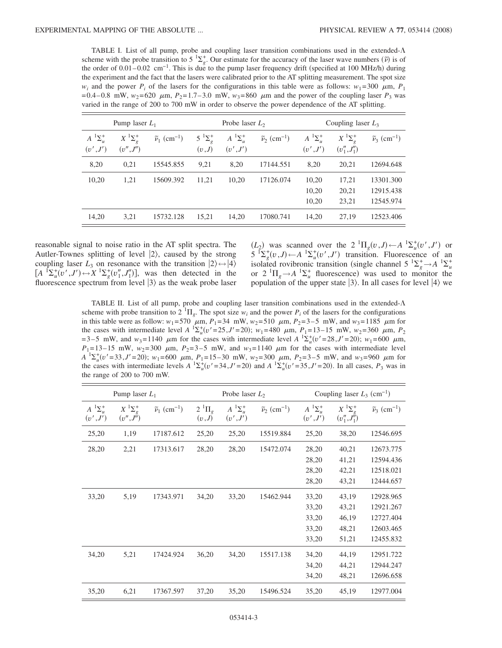<span id="page-2-0"></span>TABLE I. List of all pump, probe and coupling laser transition combinations used in the extended- $\Lambda$ scheme with the probe transition to 5<sup>1</sup> $\Sigma_g^*$ . Our estimate for the accuracy of the laser wave numbers  $(\tilde{\nu})$  is of the order of  $0.01-0.02$  cm<sup>-1</sup>. This is due to the pump laser frequency drift (specified at 100 MHz/h) during the experiment and the fact that the lasers were calibrated prior to the AT splitting measurement. The spot size *w<sub>i</sub>* and the power  $P_i$  of the lasers for the configurations in this table were as follows:  $w_1 = 300 \mu m$ ,  $P_1$  $=0.4-0.8$  mW,  $w_2=620$   $\mu$ m,  $P_2=1.7-3.0$  mW,  $w_3=860$   $\mu$ m and the power of the coupling laser  $P_3$  was varied in the range of 200 to 700 mW in order to observe the power dependence of the AT splitting.

| Pump laser $L_1$                |                                                        |                                     | Probe laser $L_2$                  |                               |                                     | Coupling laser $L_3$            |                                              |                                     |
|---------------------------------|--------------------------------------------------------|-------------------------------------|------------------------------------|-------------------------------|-------------------------------------|---------------------------------|----------------------------------------------|-------------------------------------|
| $A^{-1}\Sigma^+_\nu$<br>(v',J') | $X$ <sup>1</sup> $\Sigma^+$ <sub>2</sub><br>(v'', J'') | $\tilde{\nu}_1$ (cm <sup>-1</sup> ) | $5^{1}\Sigma^{+}_{\rho}$<br>(v, J) | $A^{-1}\Sigma_u^+$<br>(v',J') | $\tilde{\nu}_2$ (cm <sup>-1</sup> ) | $A^{-1}\Sigma^+_\nu$<br>(v',J') | $X^{1}\Sigma_{\rho}^{+}$<br>$(v''_1, J''_1)$ | $\tilde{\nu}_3$ (cm <sup>-1</sup> ) |
| 8,20                            | 0,21                                                   | 15545.855                           | 9,21                               | 8,20                          | 17144.551                           | 8,20                            | 20,21                                        | 12694.648                           |
| 10,20                           | 1,21                                                   | 15609.392                           | 11,21                              | 10,20                         | 17126.074                           | 10,20<br>10,20<br>10,20         | 17,21<br>20,21<br>23,21                      | 13301.300<br>12915.438<br>12545.974 |
| 14,20                           | 3,21                                                   | 15732.128                           | 15,21                              | 14,20                         | 17080.741                           | 14,20                           | 27,19                                        | 12523.406                           |

reasonable signal to noise ratio in the AT split spectra. The Autler-Townes splitting of level  $|2\rangle$ , caused by the strong coupling laser  $L_3$  on resonance with the transition  $|2\rangle \leftrightarrow |4\rangle$  $[A \ {}^f\Sigma_u^+(v',J') \leftrightarrow X \ {}^f\Sigma_g^+(v''_1,J''_1)],$  was then detected in the fluorescence spectrum from level  $|3\rangle$  as the weak probe laser

 $(L_2)$  was scanned over the 2<sup>1</sup><sup>I</sup>I<sub>*g</sub>*(*v*,*J*)←*A*<sup>1</sup>∑<sup>+</sup><sub>*u*</sub>(*v'*,*J'*) or</sub>  $5 \sum_{g}^{T} (v, J) \leftarrow A \sum_{u}^{T} (v', J')$  transition. Fluorescence of an isolated rovibronic transition (single channel  $5 \frac{1}{2} \times \frac{4}{g} \rightarrow A \frac{1}{2} \times \frac{4}{g}$ or  $2 \text{ }^1\Pi_g \rightarrow A \text{ }^1\Sigma_u^+$  fluorescence) was used to monitor the population of the upper state  $|3\rangle$ . In all cases for level  $|4\rangle$  we

<span id="page-2-1"></span>TABLE II. List of all pump, probe and coupling laser transition combinations used in the extended- $\Lambda$ scheme with probe transition to  $2^{-1}\Pi_g$ . The spot size  $w_i$  and the power  $P_i$  of the lasers for the configurations in this table were as follow:  $w_1 = 570^\circ \mu m$ ,  $P_1 = 34^\circ \mu m$ ,  $w_2 = 510^\circ \mu m$ ,  $P_2 = 3-5^\circ \mu m$ , and  $w_3 = 1185^\circ \mu m$  for the cases with intermediate level *A*  ${}^{1}\Sigma_{u}^{+}(v'=25, J'=20)$ ; *w*<sub>1</sub>=480  $\mu$ m, *P*<sub>1</sub>=13–15 mW, *w*<sub>2</sub>=360  $\mu$ m, *P*<sub>2</sub>  $=3-5$  mW, and  $w_3 = 1140$   $\mu$ m for the cases with intermediate level  $A^{-1}\Sigma_u^+(v' = 28, J' = 20)$ ;  $w_1 = 600 \mu$ m,  $P_1$ =13–15 mW,  $w_2$ =300  $\mu$ m,  $P_2$ =3–5 mW, and  $w_3$ =1140  $\mu$ m for the cases with intermediate level  $A^{-1}\Sigma_{u}^{+}(v' = 33, J' = 20)$ ;  $w_1 = 600 \mu m$ ,  $P_1 = 15-30 \mu m$ ,  $w_2 = 300 \mu m$ ,  $P_2 = 3-5 \mu m$ , and  $w_3 = 960 \mu m$  for the cases with intermediate levels  $A^{-1}\Sigma_u^+(v'=34, J'=20)$  and  $A^{-1}\Sigma_u^+(v'=35, J'=20)$ . In all cases,  $P_3$  was in the range of 200 to 700 mW.

| Pump laser $L_1$              |                                                       |                                     | Probe laser $L_2$        |                                 |                                     | Coupling laser $L_3$ (cm <sup>-1</sup> ) |                                           |                                     |
|-------------------------------|-------------------------------------------------------|-------------------------------------|--------------------------|---------------------------------|-------------------------------------|------------------------------------------|-------------------------------------------|-------------------------------------|
| $A^{-1}\Sigma_u^+$<br>(v',J') | $X$ <sup>1</sup> $\Sigma^+$ <sub>o</sub><br>(v'',J'') | $\tilde{\nu}_1$ (cm <sup>-1</sup> ) | $2^{1}\Pi_{g}$<br>(v, J) | $A^{-1}\Sigma^+_\nu$<br>(v',J') | $\tilde{\nu}_2$ (cm <sup>-1</sup> ) | $A^{-1}\Sigma_u^+$<br>(v',J')            | $X^{1}\Sigma_{a}^{+}$<br>$(v''_1, J''_1)$ | $\tilde{\nu}_3$ (cm <sup>-1</sup> ) |
| 25,20                         | 1,19                                                  | 17187.612                           | 25,20                    | 25,20                           | 15519.884                           | 25,20                                    | 38,20                                     | 12546.695                           |
| 28,20                         | 2,21                                                  | 17313.617                           | 28,20                    | 28,20                           | 15472.074                           | 28,20                                    | 40,21                                     | 12673.775                           |
|                               |                                                       |                                     |                          |                                 |                                     | 28,20                                    | 41,21                                     | 12594.436                           |
|                               |                                                       |                                     |                          |                                 |                                     | 28,20                                    | 42,21                                     | 12518.021                           |
|                               |                                                       |                                     |                          |                                 |                                     | 28,20                                    | 43,21                                     | 12444.657                           |
| 33,20                         | 5,19                                                  | 17343.971                           | 34,20                    | 33,20                           | 15462.944                           | 33,20                                    | 43,19                                     | 12928.965                           |
|                               |                                                       |                                     |                          |                                 |                                     | 33,20                                    | 43,21                                     | 12921.267                           |
|                               |                                                       |                                     |                          |                                 |                                     | 33,20                                    | 46,19                                     | 12727.404                           |
|                               |                                                       |                                     |                          |                                 |                                     | 33,20                                    | 48,21                                     | 12603.465                           |
|                               |                                                       |                                     |                          |                                 |                                     | 33,20                                    | 51,21                                     | 12455.832                           |
| 34,20                         | 5,21                                                  | 17424.924                           | 36,20                    | 34,20                           | 15517.138                           | 34,20                                    | 44,19                                     | 12951.722                           |
|                               |                                                       |                                     |                          |                                 |                                     | 34,20                                    | 44,21                                     | 12944.247                           |
|                               |                                                       |                                     |                          |                                 |                                     | 34,20                                    | 48,21                                     | 12696.658                           |
| 35,20                         | 6,21                                                  | 17367.597                           | 37,20                    | 35,20                           | 15496.524                           | 35,20                                    | 45,19                                     | 12977.004                           |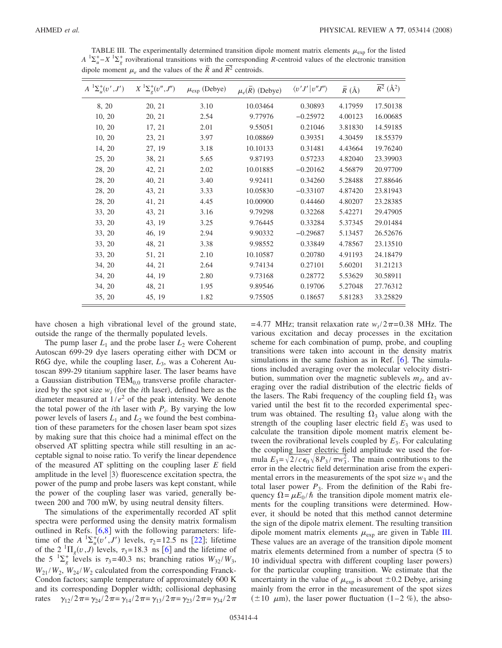| $A^{-1}\Sigma_{u}^{+}(v',J')$ | $X^{-1}\Sigma^+_{g}(v'',J'')$ | $\mu_{\text{exp}}$ (Debye) | $\mu_e(\overline{R})$ (Debye) | $\langle v'J'   v''J'' \rangle$ | $\overline{R}$ (Å) | $\overline{R^2}$ (Å <sup>2</sup> ) |
|-------------------------------|-------------------------------|----------------------------|-------------------------------|---------------------------------|--------------------|------------------------------------|
| 8, 20                         | 20, 21                        | 3.10                       | 10.03464                      | 0.30893                         | 4.17959            | 17.50138                           |
| 10, 20                        | 20, 21                        | 2.54                       | 9.77976                       | $-0.25972$                      | 4.00123            | 16.00685                           |
| 10, 20                        | 17, 21                        | 2.01                       | 9.55051                       | 0.21046                         | 3.81830            | 14.59185                           |
| 10, 20                        | 23, 21                        | 3.97                       | 10.08869                      | 0.39351                         | 4.30459            | 18.55379                           |
| 14, 20                        | 27, 19                        | 3.18                       | 10.10133                      | 0.31481                         | 4.43664            | 19.76240                           |
| 25, 20                        | 38, 21                        | 5.65                       | 9.87193                       | 0.57233                         | 4.82040            | 23.39903                           |
| 28, 20                        | 42, 21                        | 2.02                       | 10.01885                      | $-0.20162$                      | 4.56879            | 20.97709                           |
| 28, 20                        | 40, 21                        | 3.40                       | 9.92411                       | 0.34260                         | 5.28488            | 27.88646                           |
| 28, 20                        | 43, 21                        | 3.33                       | 10.05830                      | $-0.33107$                      | 4.87420            | 23.81943                           |
| 28, 20                        | 41, 21                        | 4.45                       | 10.00900                      | 0.44460                         | 4.80207            | 23.28385                           |
| 33, 20                        | 43, 21                        | 3.16                       | 9.79298                       | 0.32268                         | 5.42271            | 29.47905                           |
| 33, 20                        | 43, 19                        | 3.25                       | 9.76445                       | 0.33284                         | 5.37345            | 29.01484                           |
| 33, 20                        | 46, 19                        | 2.94                       | 9.90332                       | $-0.29687$                      | 5.13457            | 26.52676                           |
| 33, 20                        | 48, 21                        | 3.38                       | 9.98552                       | 0.33849                         | 4.78567            | 23.13510                           |
| 33, 20                        | 51, 21                        | 2.10                       | 10.10587                      | 0.20780                         | 4.91193            | 24.18479                           |
| 34, 20                        | 44, 21                        | 2.64                       | 9.74134                       | 0.27101                         | 5.60201            | 31.21213                           |
| 34, 20                        | 44, 19                        | 2.80                       | 9.73168                       | 0.28772                         | 5.53629            | 30.58911                           |
| 34, 20                        | 48, 21                        | 1.95                       | 9.89546                       | 0.19706                         | 5.27048            | 27.76312                           |
| 35, 20                        | 45, 19                        | 1.82                       | 9.75505                       | 0.18657                         | 5.81283            | 33.25829                           |

<span id="page-3-0"></span>TABLE III. The experimentally determined transition dipole moment matrix elements  $\mu_{\rm exp}$  for the listed  $A^{-1}\Sigma_{u}^{+} - X^{-1}\Sigma_{g}^{+}$  rovibrational transitions with the corresponding *R*-centroid values of the electronic transition dipole moment  $\mu_e$  and the values of the  $\overline{R}$  and  $\overline{R}^2$  centroids.

have chosen a high vibrational level of the ground state, outside the range of the thermally populated levels.

The pump laser  $L_1$  and the probe laser  $L_2$  were Coherent Autoscan 699-29 dye lasers operating either with DCM or R6G dye, while the coupling laser, *L*3, was a Coherent Autoscan 899-29 titanium sapphire laser. The laser beams have a Gaussian distribution  $TEM_{0,0}$  transverse profile characterized by the spot size  $w_i$  (for the *i*th laser), defined here as the diameter measured at  $1/e^2$  of the peak intensity. We denote the total power of the *i*th laser with  $P_i$ . By varying the low power levels of lasers  $L_1$  and  $L_2$  we found the best combination of these parameters for the chosen laser beam spot sizes by making sure that this choice had a minimal effect on the observed AT splitting spectra while still resulting in an acceptable signal to noise ratio. To verify the linear dependence of the measured AT splitting on the coupling laser *E* field amplitude in the level  $|3\rangle$  fluorescence excitation spectra, the power of the pump and probe lasers was kept constant, while the power of the coupling laser was varied, generally between 200 and 700 mW, by using neutral density filters.

The simulations of the experimentally recorded AT split spectra were performed using the density matrix formalism outlined in Refs.  $[6,8]$  $[6,8]$  $[6,8]$  $[6,8]$  with the following parameters: lifetime of the *A*  ${}^{1}\Sigma_{u}^{+}(v',J')$  levels,  $\tau_{2} = 12.5$  ns [[22](#page-6-17)]; lifetime of the 2<sup>1</sup> $\Pi_g(v, J)$ <sup>"</sup> levels,  $\tau_3 = 18.3$  ns [[6](#page-6-4)] and the lifetime of the 5<sup>1</sup> $\Sigma_g^+$  levels is  $\tau_3$ =40.3 ns; branching ratios  $W_{32}/W_3$ ,  $W_{21}/W_2$ ,  $W_{24}/W_2$  calculated from the corresponding Franck-Condon factors; sample temperature of approximately 600 K and its corresponding Doppler width; collisional dephasing rates  $\gamma_{12}/2\pi = \gamma_{24}/2\pi = \gamma_{14}/2\pi = \gamma_{13}/2\pi = \gamma_{23}/2\pi = \gamma_{34}/2\pi$ 

 $=4.77$  MHz; transit relaxation rate  $w_t/2\pi=0.38$  MHz. The various excitation and decay processes in the excitation scheme for each combination of pump, probe, and coupling transitions were taken into account in the density matrix simulations in the same fashion as in Ref.  $[6]$  $[6]$  $[6]$ . The simulations included averaging over the molecular velocity distribution, summation over the magnetic sublevels  $m<sub>J</sub>$ , and averaging over the radial distribution of the electric fields of the lasers. The Rabi frequency of the coupling field  $\Omega_3$  was varied until the best fit to the recorded experimental spectrum was obtained. The resulting  $\Omega_3$  value along with the strength of the coupling laser electric field  $E_3$  was used to calculate the transition dipole moment matrix element between the rovibrational levels coupled by  $E_3$ . For calculating the coupling laser electric field amplitude we used the formula  $E_3 = \sqrt{2/c\epsilon_0} \sqrt{8P_3/\pi w_3^2}$ . The main contributions to the error in the electric field determination arise from the experimental errors in the measurements of the spot size  $w_3$  and the total laser power  $P_3$ . From the definition of the Rabi frequency  $\Omega = \mu E_0 / \hbar$  the transition dipole moment matrix elements for the coupling transitions were determined. However, it should be noted that this method cannot determine the sign of the dipole matrix element. The resulting transition dipole moment matrix elements  $\mu_{\exp}$  are given in Table [III.](#page-3-0) These values are an average of the transition dipole moment matrix elements determined from a number of spectra (5 to 10 individual spectra with different coupling laser powers) for the particular coupling transition. We estimate that the uncertainty in the value of  $\mu_{\text{exp}}$  is about  $\pm 0.2$  Debye, arising mainly from the error in the measurement of the spot sizes  $(\pm 10 \mu m)$ , the laser power fluctuation  $(1-2 \%)$ , the abso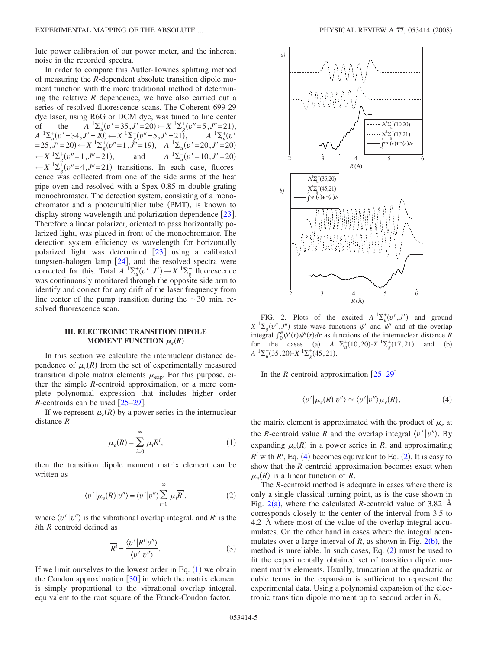lute power calibration of our power meter, and the inherent noise in the recorded spectra.

In order to compare this Autler-Townes splitting method of measuring the *R*-dependent absolute transition dipole moment function with the more traditional method of determining the relative *R* dependence, we have also carried out a series of resolved fluorescence scans. The Coherent 699-29 dye laser, using R6G or DCM dye, was tuned to line center of the  $A^{-1}\Sigma_u^+(v'=35, J'=20) \leftarrow X^{-1}\Sigma_g^+(v''=5, J''=21),$  $A^{-1}\Sigma_{u}^{+}(v'=34, J'=20) \leftarrow X^{-1}\Sigma_{g}^{+}(v''=5, J''=21)$ ,  $A^{-1}\Sigma_{u}^{+}(v' = 20, J' = 20)$  $(25, J' = 20) \leftarrow X^{-1} \sum_{g}^{4} (v'' = 1, J'' = 19), \quad A^{-1} \sum_{u}^{4} (v' = 20, J' = 20)$  $-x \frac{1}{g}(v''=1, J''=21)$  $A^{-1}\Sigma_u^+(v'=10, J'=20)$  $-X^{-1}\Sigma_g^+(v''=4, J''=21)$  transitions. In each case, fluorescence was collected from one of the side arms of the heat pipe oven and resolved with a Spex 0.85 m double-grating monochromator. The detection system, consisting of a monochromator and a photomultiplier tube (PMT), is known to display strong wavelength and polarization dependence [[23](#page-6-18)]. Therefore a linear polarizer, oriented to pass horizontally polarized light, was placed in front of the monochromator. The detection system efficiency vs wavelength for horizontally polarized light was determined  $\lceil 23 \rceil$  $\lceil 23 \rceil$  $\lceil 23 \rceil$  using a calibrated tungsten-halogen lamp  $[24]$  $[24]$  $[24]$ , and the resolved spectra were corrected for this. Total  $A^{-1}\Sigma_u^+(v',J') \to X^{-1}\Sigma_g^+$  fluorescence was continuously monitored through the opposite side arm to identify and correct for any drift of the laser frequency from line center of the pump transition during the  $\sim$ 30 min. resolved fluorescence scan.

# **III. ELECTRONIC TRANSITION DIPOLE MOMENT FUNCTION**  $\mu_e(R)$

In this section we calculate the internuclear distance dependence of  $\mu_e(R)$  from the set of experimentally measured transition dipole matrix elements  $\mu_{\text{exp}}$ . For this purpose, either the simple *R*-centroid approximation, or a more complete polynomial expression that includes higher order *R*-centroids can be used  $\left[25-29\right]$  $\left[25-29\right]$  $\left[25-29\right]$ .

<span id="page-4-0"></span>If we represent  $\mu_e(R)$  by a power series in the internuclear distance *R*

$$
\mu_e(R) = \sum_{i=0}^{\infty} \mu_i R^i, \qquad (1)
$$

<span id="page-4-2"></span>then the transition dipole moment matrix element can be written as

$$
\langle v' | \mu_e(R) | v'' \rangle = \langle v' | v'' \rangle \sum_{i=0}^{\infty} \mu_i \overline{R^i},
$$
 (2)

where  $\langle v' | v'' \rangle$  is the vibrational overlap integral, and  $\overline{R}^i$  is the *i*th *R* centroid defined as

$$
\overline{R^i} = \frac{\langle v' | R^i | v'' \rangle}{\langle v' | v'' \rangle}.
$$
\n(3)

If we limit ourselves to the lowest order in Eq.  $(1)$  $(1)$  $(1)$  we obtain the Condon approximation  $\lceil 30 \rceil$  $\lceil 30 \rceil$  $\lceil 30 \rceil$  in which the matrix element is simply proportional to the vibrational overlap integral, equivalent to the root square of the Franck-Condon factor.

<span id="page-4-3"></span>

FIG. 2. Plots of the excited  $A^{-1}\Sigma_u^+(v',J')$  and ground  $X^{-1}\Sigma_g^+(v'',J'')$  state wave functions  $\psi'$  and  $\psi''$  and of the overlap integral  $\int_0^R \psi'(r) \psi''(r) dr$  as functions of the internuclear distance *R* for the cases (a)  $A^{-1}\Sigma_u^+(10,20) - X^{-1}\Sigma_g^+(17,21)$  and (b)  $A^{-1}\Sigma_u^+(35,20)$ - $X^{-1}\Sigma_g^+(45,21)$ .

<span id="page-4-1"></span>In the *R*-centroid approximation  $[25-29]$  $[25-29]$  $[25-29]$ 

$$
\langle v' | \mu_e(R) | v'' \rangle \approx \langle v' | v'' \rangle \mu_e(\bar{R}), \tag{4}
$$

the matrix element is approximated with the product of  $\mu_e$  at the *R*-centroid value  $\overline{R}$  and the overlap integral  $\langle v' | v'' \rangle$ . By expanding  $\mu_e(\overline{R})$  in a power series in  $\overline{R}$ , and approximating  $\overline{R}$ <sup>*i*</sup> with  $\overline{R}$ <sup>*i*</sup>, Eq. ([4](#page-4-1)) becomes equivalent to Eq. ([2](#page-4-2)). It is easy to show that the *R*-centroid approximation becomes exact when  $\mu_e(R)$  is a linear function of *R*.

The *R*-centroid method is adequate in cases where there is only a single classical turning point, as is the case shown in Fig.  $2(a)$  $2(a)$ , where the calculated *R*-centroid value of 3.82 Å corresponds closely to the center of the interval from 3.5 to 4.2 Å where most of the value of the overlap integral accumulates. On the other hand in cases where the integral accumulates over a large interval of  $R$ , as shown in Fig.  $2(b)$  $2(b)$ , the method is unreliable. In such cases, Eq.  $(2)$  $(2)$  $(2)$  must be used to fit the experimentally obtained set of transition dipole moment matrix elements. Usually, truncation at the quadratic or cubic terms in the expansion is sufficient to represent the experimental data. Using a polynomial expansion of the electronic transition dipole moment up to second order in *R*,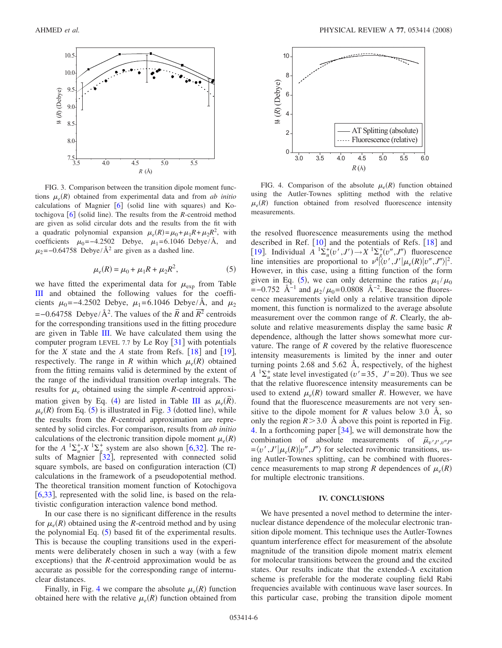<span id="page-5-1"></span>

FIG. 3. Comparison between the transition dipole moment functions  $\mu_e(R)$  obtained from experimental data and from *ab initio* calculations of Magnier [[6](#page-6-4)] (solid line with squares) and Ko-tochigova [[6](#page-6-4)] (solid line). The results from the *R*-centroid method are given as solid circular dots and the results from the fit with a quadratic polynomial expansion  $\mu_e(R) = \mu_0 + \mu_1 R + \mu_2 R^2$ , with coefficients  $\mu_0$ =−4.2502 Debye,  $\mu_1$ =6.1046 Debye/Å, and  $\mu_2$ =−0.64758 Debye/Å<sup>2</sup> are given as a dashed line.

$$
\mu_e(R) = \mu_0 + \mu_1 R + \mu_2 R^2, \tag{5}
$$

<span id="page-5-0"></span>we have fitted the experimental data for  $\mu_{\exp}$  from Table [III](#page-3-0) and obtained the following values for the coefficients  $\mu_0$ =−4.2502 Debye,  $\mu_1$ =6.1046 Debye/Å, and  $\mu_2$  $=$ −0.64758 Debye/Å<sup>2</sup>. The values of the  $\overline{R}$  and  $\overline{R}^2$  centroids for the corresponding transitions used in the fitting procedure are given in Table [III.](#page-3-0) We have calculated them using the computer program LEVEL 7.7 by Le Roy  $\lceil 31 \rceil$  $\lceil 31 \rceil$  $\lceil 31 \rceil$  with potentials for the *X* state and the *A* state from Refs.  $\lceil 18 \rceil$  $\lceil 18 \rceil$  $\lceil 18 \rceil$  and  $\lceil 19 \rceil$  $\lceil 19 \rceil$  $\lceil 19 \rceil$ , respectively. The range in *R* within which  $\mu_e(R)$  obtained from the fitting remains valid is determined by the extent of the range of the individual transition overlap integrals. The results for  $\mu_e$  obtained using the simple *R*-centroid approxi-mation given by Eq. ([4](#page-4-1)) are listed in Table [III](#page-3-0) as  $\mu_e(\overline{R})$ .  $\mu_e(R)$  from Eq. ([5](#page-5-0)) is illustrated in Fig. [3](#page-5-1) (dotted line), while the results from the *R*-centroid approximation are represented by solid circles. For comparison, results from *ab initio* calculations of the electronic transition dipole moment  $\mu_e(R)$ for the  $A^{-1}\Sigma_u^+ X^{-1}\Sigma_g^+$  system are also shown [[6](#page-6-4)[,32](#page-6-24)]. The re-sults of Magnier [[32](#page-6-24)], represented with connected solid square symbols, are based on configuration interaction (CI) calculations in the framework of a pseudopotential method. The theoretical transition moment function of Kotochigova [ $6,33$  $6,33$ ], represented with the solid line, is based on the relativistic configuration interaction valence bond method.

In our case there is no significant difference in the results for  $\mu_e(R)$  obtained using the *R*-centroid method and by using the polynomial Eq.  $(5)$  $(5)$  $(5)$  based fit of the experimental results. This is because the coupling transitions used in the experiments were deliberately chosen in such a way (with a few exceptions) that the *R*-centroid approximation would be as accurate as possible for the corresponding range of internuclear distances.

Finally, in Fig. [4](#page-5-2) we compare the absolute  $\mu_e(R)$  function obtained here with the relative  $\mu_e(R)$  function obtained from

<span id="page-5-2"></span>

FIG. 4. Comparison of the absolute  $\mu_e(R)$  function obtained using the Autler-Townes splitting method with the relative  $\mu_e(R)$  function obtained from resolved fluorescence intensity measurements.

the resolved fluorescence measurements using the method described in Ref.  $[10]$  $[10]$  $[10]$  and the potentials of Refs.  $[18]$  $[18]$  $[18]$  and [[19](#page-6-14)]. Individual  $A^{-1}\Sigma_u^+(v',J') \to X^{-1}\Sigma_g^+(v'',J'')$  fluorescence line intensities are proportional to  $\nu^4 \left( \left\langle v', J' \right| \mu_e(R) \left| v'', J'' \right\rangle \right|^2$ . However, in this case, using a fitting function of the form given in Eq. ([5](#page-5-0)), we can only determine the ratios  $\mu_1/\mu_0$  $=$ −0.752 Å<sup>−1</sup> and  $\mu_2 / \mu_0$ =0.0808 Å<sup>−2</sup>. Because the fluorescence measurements yield only a relative transition dipole moment, this function is normalized to the average absolute measurement over the common range of *R*. Clearly, the absolute and relative measurements display the same basic *R* dependence, although the latter shows somewhat more curvature. The range of *R* covered by the relative fluorescence intensity measurements is limited by the inner and outer turning points 2.68 and 5.62 Å, respectively, of the highest  $A^{-1}\Sigma_u^+$  state level investigated ( $v'$  = 35, *J'* = 20). Thus we see that the relative fluorescence intensity measurements can be used to extend  $\mu_e(R)$  toward smaller *R*. However, we have found that the fluorescence measurements are not very sensitive to the dipole moment for  $R$  values below 3.0  $\AA$ , so only the region  $R > 3.0$  Å above this point is reported in Fig. [4.](#page-5-2) In a forthcoming paper  $[34]$  $[34]$  $[34]$ , we will demonstrate how the combination of absolute measurements of  $\bar{\mu}_{v'J',v''J''}$  $=\langle v', J'| \mu_e(R) | v'', J'' \rangle$  for selected rovibronic transitions, using Autler-Townes splitting, can be combined with fluorescence measurements to map strong *R* dependences of  $\mu_e(R)$ for multiple electronic transitions.

# **IV. CONCLUSIONS**

We have presented a novel method to determine the internuclear distance dependence of the molecular electronic transition dipole moment. This technique uses the Autler-Townes quantum interference effect for measurement of the absolute magnitude of the transition dipole moment matrix element for molecular transitions between the ground and the excited states. Our results indicate that the extended- $\Lambda$  excitation scheme is preferable for the moderate coupling field Rabi frequencies available with continuous wave laser sources. In this particular case, probing the transition dipole moment